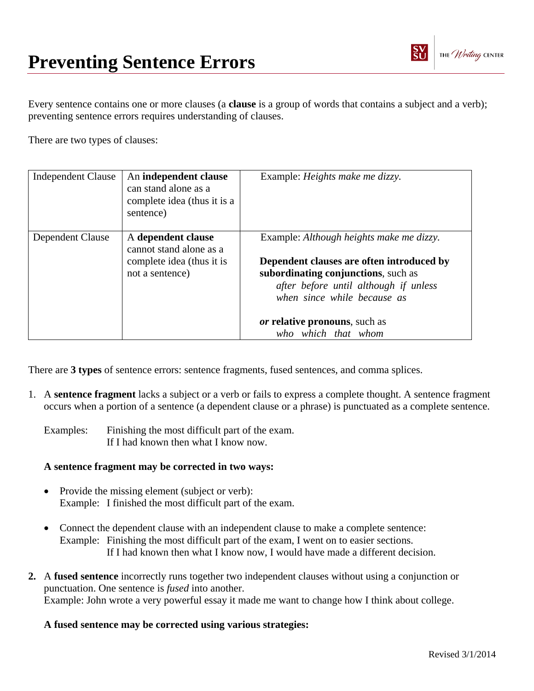

Every sentence contains one or more clauses (a **clause** is a group of words that contains a subject and a verb); preventing sentence errors requires understanding of clauses.

There are two types of clauses:

| <b>Independent Clause</b> | An independent clause<br>can stand alone as a<br>complete idea (thus it is a<br>sentence)     | Example: <i>Heights make me dizzy</i> .                                                                                                                                                                                                                      |
|---------------------------|-----------------------------------------------------------------------------------------------|--------------------------------------------------------------------------------------------------------------------------------------------------------------------------------------------------------------------------------------------------------------|
| Dependent Clause          | A dependent clause<br>cannot stand alone as a<br>complete idea (thus it is<br>not a sentence) | Example: Although heights make me dizzy.<br>Dependent clauses are often introduced by<br>subordinating conjunctions, such as<br>after before until although if unless<br>when since while because as<br>or relative pronouns, such as<br>who which that whom |

There are **3 types** of sentence errors: sentence fragments, fused sentences, and comma splices.

- 1. A **sentence fragment** lacks a subject or a verb or fails to express a complete thought. A sentence fragment occurs when a portion of a sentence (a dependent clause or a phrase) is punctuated as a complete sentence.
	- Examples: Finishing the most difficult part of the exam. If I had known then what I know now.

## **A sentence fragment may be corrected in two ways:**

- Provide the missing element (subject or verb): Example: I finished the most difficult part of the exam.
- Connect the dependent clause with an independent clause to make a complete sentence: Example: Finishing the most difficult part of the exam, I went on to easier sections. If I had known then what I know now, I would have made a different decision.
- **2.** A **fused sentence** incorrectly runs together two independent clauses without using a conjunction or punctuation. One sentence is *fused* into another. Example: John wrote a very powerful essay it made me want to change how I think about college.

## **A fused sentence may be corrected using various strategies:**